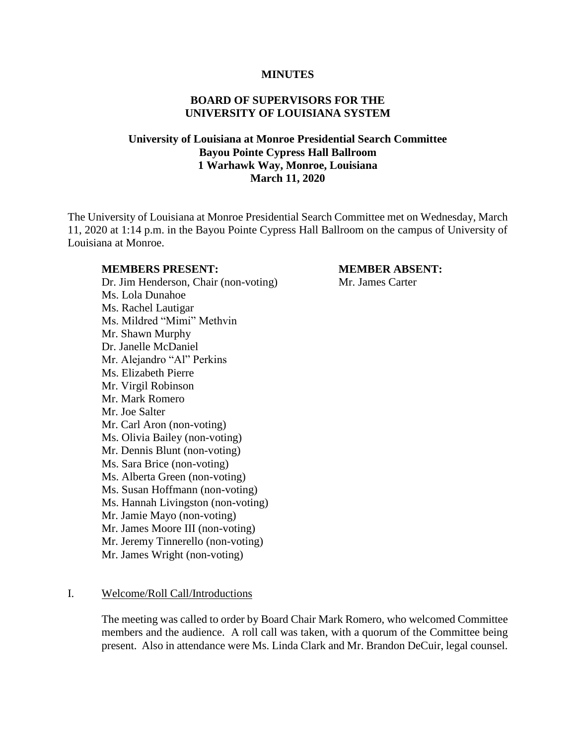#### **MINUTES**

#### **BOARD OF SUPERVISORS FOR THE UNIVERSITY OF LOUISIANA SYSTEM**

# **University of Louisiana at Monroe Presidential Search Committee Bayou Pointe Cypress Hall Ballroom 1 Warhawk Way, Monroe, Louisiana March 11, 2020**

The University of Louisiana at Monroe Presidential Search Committee met on Wednesday, March 11, 2020 at 1:14 p.m. in the Bayou Pointe Cypress Hall Ballroom on the campus of University of Louisiana at Monroe.

#### **MEMBERS PRESENT: MEMBER ABSENT:**

Dr. Jim Henderson, Chair (non-voting) Mr. James Carter Ms. Lola Dunahoe Ms. Rachel Lautigar Ms. Mildred "Mimi" Methvin Mr. Shawn Murphy Dr. Janelle McDaniel Mr. Alejandro "Al" Perkins Ms. Elizabeth Pierre Mr. Virgil Robinson Mr. Mark Romero Mr. Joe Salter Mr. Carl Aron (non-voting) Ms. Olivia Bailey (non-voting) Mr. Dennis Blunt (non-voting) Ms. Sara Brice (non-voting) Ms. Alberta Green (non-voting) Ms. Susan Hoffmann (non-voting) Ms. Hannah Livingston (non-voting) Mr. Jamie Mayo (non-voting) Mr. James Moore III (non-voting) Mr. Jeremy Tinnerello (non-voting) Mr. James Wright (non-voting)

#### I. Welcome/Roll Call/Introductions

The meeting was called to order by Board Chair Mark Romero, who welcomed Committee members and the audience. A roll call was taken, with a quorum of the Committee being present. Also in attendance were Ms. Linda Clark and Mr. Brandon DeCuir, legal counsel.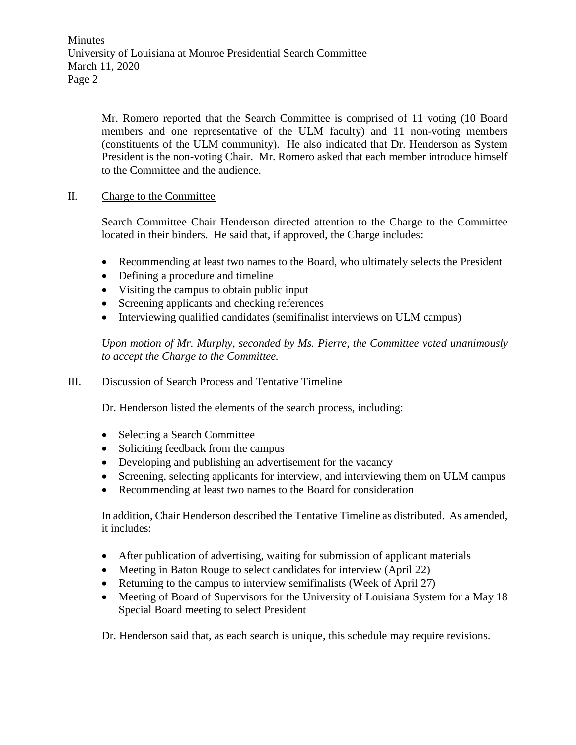Minutes University of Louisiana at Monroe Presidential Search Committee March 11, 2020 Page 2

> Mr. Romero reported that the Search Committee is comprised of 11 voting (10 Board members and one representative of the ULM faculty) and 11 non-voting members (constituents of the ULM community). He also indicated that Dr. Henderson as System President is the non-voting Chair. Mr. Romero asked that each member introduce himself to the Committee and the audience.

## II. Charge to the Committee

Search Committee Chair Henderson directed attention to the Charge to the Committee located in their binders. He said that, if approved, the Charge includes:

- Recommending at least two names to the Board, who ultimately selects the President
- Defining a procedure and timeline
- Visiting the campus to obtain public input
- Screening applicants and checking references
- Interviewing qualified candidates (semifinalist interviews on ULM campus)

*Upon motion of Mr. Murphy, seconded by Ms. Pierre, the Committee voted unanimously to accept the Charge to the Committee.* 

# III. Discussion of Search Process and Tentative Timeline

Dr. Henderson listed the elements of the search process, including:

- Selecting a Search Committee
- Soliciting feedback from the campus
- Developing and publishing an advertisement for the vacancy
- Screening, selecting applicants for interview, and interviewing them on ULM campus
- Recommending at least two names to the Board for consideration

In addition, Chair Henderson described the Tentative Timeline as distributed. As amended, it includes:

- After publication of advertising, waiting for submission of applicant materials
- Meeting in Baton Rouge to select candidates for interview (April 22)
- Returning to the campus to interview semifinalists (Week of April 27)
- Meeting of Board of Supervisors for the University of Louisiana System for a May 18 Special Board meeting to select President

Dr. Henderson said that, as each search is unique, this schedule may require revisions.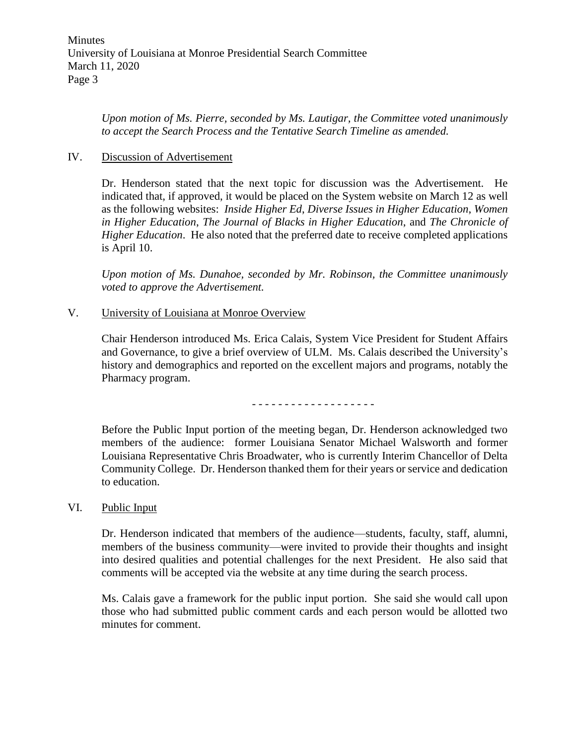*Upon motion of Ms. Pierre, seconded by Ms. Lautigar, the Committee voted unanimously to accept the Search Process and the Tentative Search Timeline as amended.*

#### IV. Discussion of Advertisement

Dr. Henderson stated that the next topic for discussion was the Advertisement. He indicated that, if approved, it would be placed on the System website on March 12 as well as the following websites: *Inside Higher Ed*, *Diverse Issues in Higher Education*, *Women in Higher Education*, *The Journal of Blacks in Higher Education*, and *The Chronicle of Higher Education*. He also noted that the preferred date to receive completed applications is April 10.

*Upon motion of Ms. Dunahoe, seconded by Mr. Robinson, the Committee unanimously voted to approve the Advertisement.* 

## V. University of Louisiana at Monroe Overview

Chair Henderson introduced Ms. Erica Calais, System Vice President for Student Affairs and Governance, to give a brief overview of ULM. Ms. Calais described the University's history and demographics and reported on the excellent majors and programs, notably the Pharmacy program.

- - - - - - - - - - - - - - - - - - -

Before the Public Input portion of the meeting began, Dr. Henderson acknowledged two members of the audience: former Louisiana Senator Michael Walsworth and former Louisiana Representative Chris Broadwater, who is currently Interim Chancellor of Delta Community College. Dr. Henderson thanked them for their years or service and dedication to education.

#### VI. Public Input

Dr. Henderson indicated that members of the audience—students, faculty, staff, alumni, members of the business community—were invited to provide their thoughts and insight into desired qualities and potential challenges for the next President. He also said that comments will be accepted via the website at any time during the search process.

Ms. Calais gave a framework for the public input portion. She said she would call upon those who had submitted public comment cards and each person would be allotted two minutes for comment.